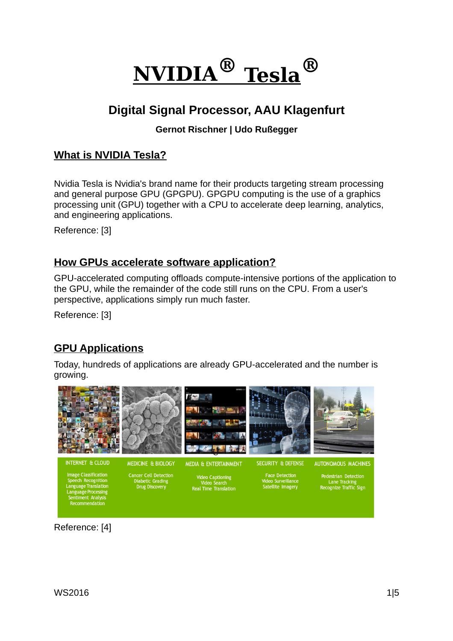

# **Digital Signal Processor, AAU Klagenfurt**

#### **Gernot Rischner | Udo Rußegger**

# **What is NVIDIA Tesla?**

Nvidia Tesla is Nvidia's brand name for their products targeting stream processing and general purpose GPU (GPGPU). GPGPU computing is the use of a graphics processing unit (GPU) together with a CPU to accelerate deep learning, analytics, and engineering applications.

Reference: [3]

# **How GPUs accelerate software application?**

GPU-accelerated computing offloads compute-intensive portions of the application to the GPU, while the remainder of the code still runs on the CPU. From a user's perspective, applications simply run much faster.

Reference: [3]

# **GPU Applications**

Today, hundreds of applications are already GPU-accelerated and the number is growing.



Reference: [4]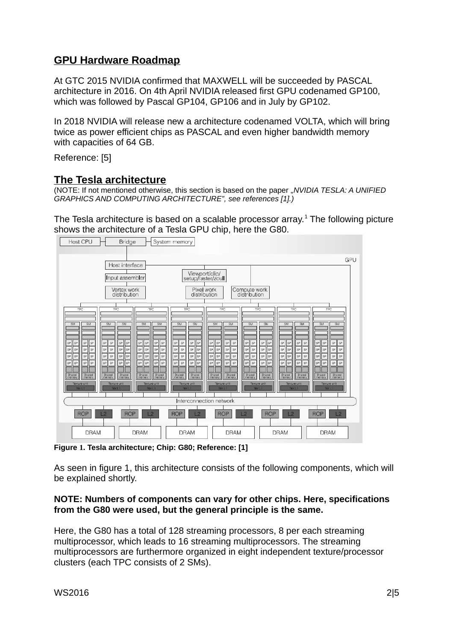# **GPU Hardware Roadmap**

At GTC 2015 NVIDIA confirmed that MAXWELL will be succeeded by PASCAL architecture in 2016. On 4th April NVIDIA released first GPU codenamed GP100, which was followed by Pascal GP104, GP106 and in July by GP102.

In 2018 NVIDIA will release new a architecture codenamed VOLTA, which will bring twice as power efficient chips as PASCAL and even higher bandwidth memory with capacities of 64 GB.

Reference: [5]

# **The Tesla architecture**

(NOTE: If not mentioned otherwise, this section is based on the paper "*NVIDIA TESLA: A UNIFIED GRAPHICS AND COMPUTING ARCHITECTURE", see references [1].)*

The Tesla architecture is based on a scalable processor array. $1$  The following picture shows the architecture of a Tesla GPU chip, here the G80.



**Figure 1. Tesla architecture; Chip: G80; Reference: [1]**

As seen in figure 1, this architecture consists of the following components, which will be explained shortly.

#### **NOTE: Numbers of components can vary for other chips. Here, specifications from the G80 were used, but the general principle is the same.**

Here, the G80 has a total of 128 streaming processors, 8 per each streaming multiprocessor, which leads to 16 streaming multiprocessors. The streaming multiprocessors are furthermore organized in eight independent texture/processor clusters (each TPC consists of 2 SMs).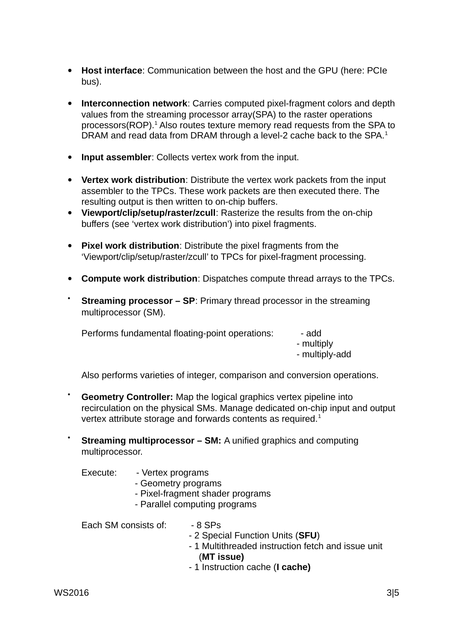- **Host interface**: Communication between the host and the GPU (here: PCIe bus).
- **Interconnection network**: Carries computed pixel-fragment colors and depth values from the streaming processor array(SPA) to the raster operations processors(ROP). $<sup>1</sup>$  Also routes texture memory read requests from the SPA to</sup> DRAM and read data from DRAM through a level-2 cache back to the SPA.<sup>1</sup>
- **Input assembler**: Collects vertex work from the input.
- **Vertex work distribution**: Distribute the vertex work packets from the input assembler to the TPCs. These work packets are then executed there. The resulting output is then written to on-chip buffers.
- **Viewport/clip/setup/raster/zcull**: Rasterize the results from the on-chip buffers (see 'vertex work distribution') into pixel fragments.
- **Pixel work distribution**: Distribute the pixel fragments from the 'Viewport/clip/setup/raster/zcull' to TPCs for pixel-fragment processing.
- **Compute work distribution**: Dispatches compute thread arrays to the TPCs.
- **Streaming processor SP**: Primary thread processor in the streaming multiprocessor (SM).

Performs fundamental floating-point operations: - - add

- multiply - multiply-add

Also performs varieties of integer, comparison and conversion operations.

- **Geometry Controller:** Map the logical graphics vertex pipeline into recirculation on the physical SMs. Manage dedicated on-chip input and output vertex attribute storage and forwards contents as required.<sup>1</sup>
- **Streaming multiprocessor SM:** A unified graphics and computing multiprocessor.

Execute: - Vertex programs

- Geometry programs
- Pixel-fragment shader programs
- Parallel computing programs

Each SM consists of:  $-8$  SPs

- 2 Special Function Units (**SFU**)
- 1 Multithreaded instruction fetch and issue unit (**MT issue)**
- 1 Instruction cache (**I cache)**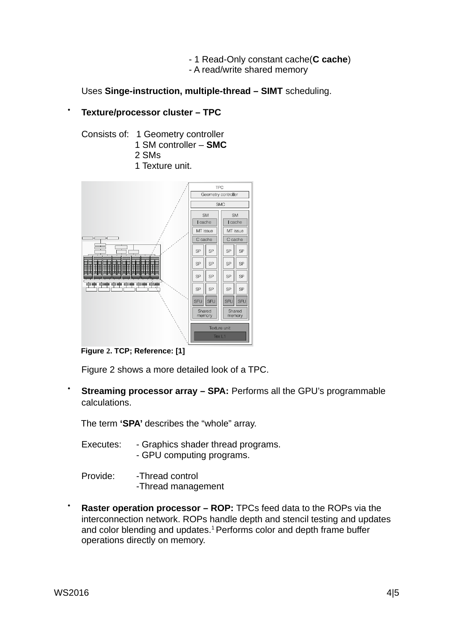- 1 Read-Only constant cache(**C cache**)
- A read/write shared memory

Uses **Singe-instruction, multiple-thread – SIMT** scheduling.

#### **Texture/processor cluster – TPC**

- Consists of: 1 Geometry controller 1 SM controller – **SMC** 2 SMs
	- 1 Texture unit.



**Figure 2. TCP; Reference: [1]**

Figure 2 shows a more detailed look of a TPC.

**Streaming processor array – SPA: Performs all the GPU's programmable** calculations.

The term **'SPA'** describes the "whole" array.

- Executes: Graphics shader thread programs. - GPU computing programs.
- Provide: -Thread control -Thread management
- **Raster operation processor ROP:** TPCs feed data to the ROPs via the interconnection network. ROPs handle depth and stencil testing and updates and color blending and updates.<sup>1</sup> Performs color and depth frame buffer operations directly on memory.